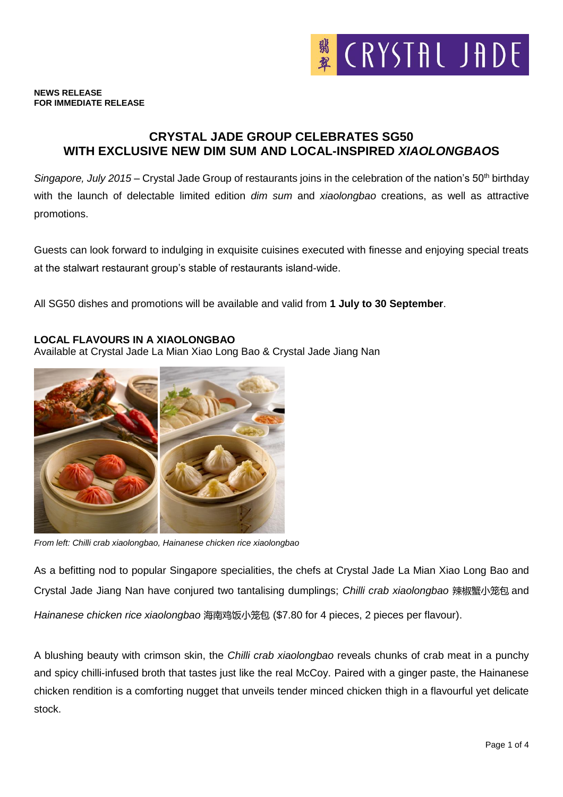

### **NEWS RELEASE FOR IMMEDIATE RELEASE**

## **CRYSTAL JADE GROUP CELEBRATES SG50 WITH EXCLUSIVE NEW DIM SUM AND LOCAL-INSPIRED** *XIAOLONGBAO***S**

*Singapore, July 2015* – Crystal Jade Group of restaurants joins in the celebration of the nation's 50th birthday with the launch of delectable limited edition *dim sum* and *xiaolongbao* creations, as well as attractive promotions.

Guests can look forward to indulging in exquisite cuisines executed with finesse and enjoying special treats at the stalwart restaurant group's stable of restaurants island-wide.

All SG50 dishes and promotions will be available and valid from **1 July to 30 September**.

### **LOCAL FLAVOURS IN A XIAOLONGBAO**

Available at Crystal Jade La Mian Xiao Long Bao & Crystal Jade Jiang Nan



*From left: Chilli crab xiaolongbao, Hainanese chicken rice xiaolongbao*

As a befitting nod to popular Singapore specialities, the chefs at Crystal Jade La Mian Xiao Long Bao and Crystal Jade Jiang Nan have conjured two tantalising dumplings; *Chilli crab xiaolongbao* 辣椒蟹小笼包 and *Hainanese chicken rice xiaolongbao* 海南鸡饭小笼包 (\$7.80 for 4 pieces, 2 pieces per flavour).

A blushing beauty with crimson skin, the *Chilli crab xiaolongbao* reveals chunks of crab meat in a punchy and spicy chilli-infused broth that tastes just like the real McCoy. Paired with a ginger paste, the Hainanese chicken rendition is a comforting nugget that unveils tender minced chicken thigh in a flavourful yet delicate stock.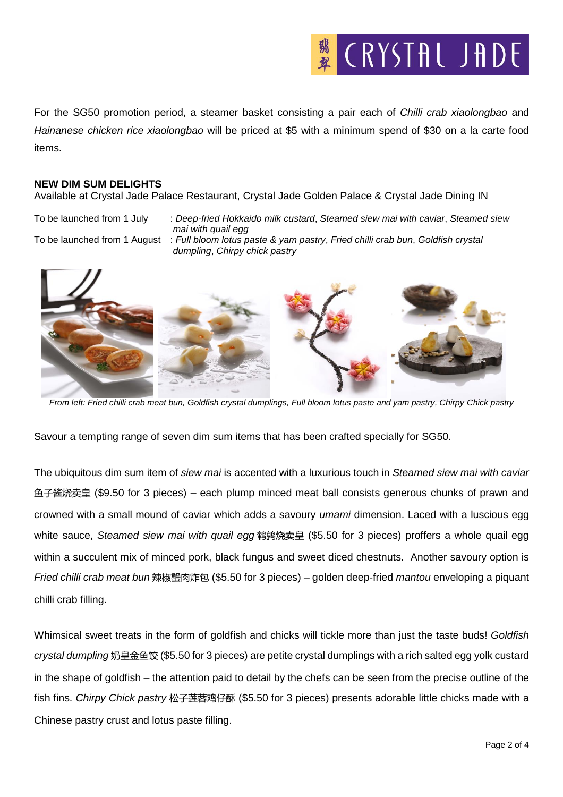

For the SG50 promotion period, a steamer basket consisting a pair each of *Chilli crab xiaolongbao* and *Hainanese chicken rice xiaolongbao* will be priced at \$5 with a minimum spend of \$30 on a la carte food items.

### **NEW DIM SUM DELIGHTS**

Available at Crystal Jade Palace Restaurant, Crystal Jade Golden Palace & Crystal Jade Dining IN

To be launched from 1 July : *Deep-fried Hokkaido milk custard*, *Steamed siew mai with caviar*, *Steamed siew mai with quail egg*

To be launched from 1 August : *Full bloom lotus paste & yam pastry*, *Fried chilli crab bun*, *Goldfish crystal dumpling*, *Chirpy chick pastry*



*From left: Fried chilli crab meat bun, Goldfish crystal dumplings, Full bloom lotus paste and yam pastry, Chirpy Chick pastry*

Savour a tempting range of seven dim sum items that has been crafted specially for SG50.

The ubiquitous dim sum item of *siew mai* is accented with a luxurious touch in *Steamed siew mai with caviar* 鱼子酱烧卖皇 (\$9.50 for 3 pieces) – each plump minced meat ball consists generous chunks of prawn and crowned with a small mound of caviar which adds a savoury *umami* dimension. Laced with a luscious egg white sauce, *Steamed siew mai with quail egg* 鹌鹑烧卖皇 (\$5.50 for 3 pieces) proffers a whole quail egg within a succulent mix of minced pork, black fungus and sweet diced chestnuts. Another savoury option is *Fried chilli crab meat bun* 辣椒蟹肉炸包 (\$5.50 for 3 pieces) – golden deep-fried *mantou* enveloping a piquant chilli crab filling.

Whimsical sweet treats in the form of goldfish and chicks will tickle more than just the taste buds! *Goldfish crystal dumpling* 奶皇金鱼饺 (\$5.50 for 3 pieces) are petite crystal dumplings with a rich salted egg yolk custard in the shape of goldfish – the attention paid to detail by the chefs can be seen from the precise outline of the fish fins. *Chirpy Chick pastry* 松子莲蓉鸡仔酥 (\$5.50 for 3 pieces) presents adorable little chicks made with a Chinese pastry crust and lotus paste filling.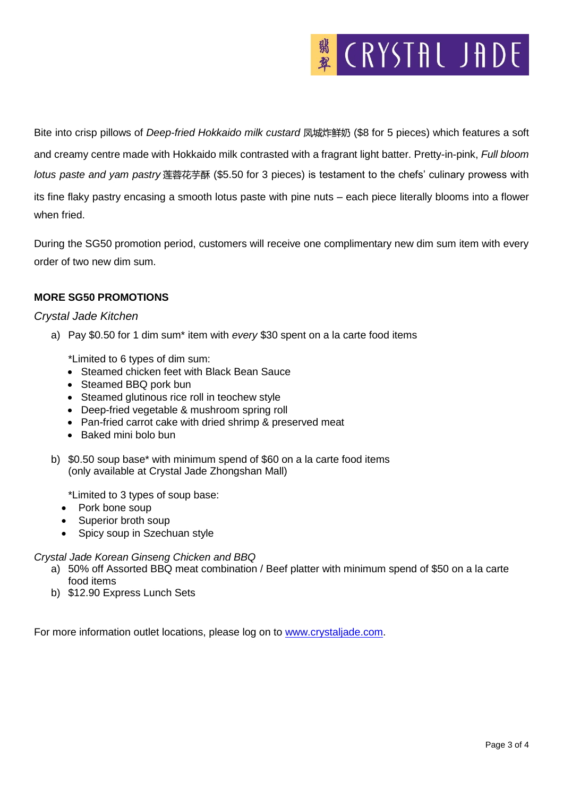# **K** CRYSTAL JADE

Bite into crisp pillows of *Deep-fried Hokkaido milk custard* 凤城炸鲜奶 (\$8 for 5 pieces) which features a soft and creamy centre made with Hokkaido milk contrasted with a fragrant light batter. Pretty-in-pink, *Full bloom lotus paste and yam pastry* 莲蓉花芋酥 (\$5.50 for 3 pieces) is testament to the chefs' culinary prowess with its fine flaky pastry encasing a smooth lotus paste with pine nuts – each piece literally blooms into a flower when fried.

During the SG50 promotion period, customers will receive one complimentary new dim sum item with every order of two new dim sum.

## **MORE SG50 PROMOTIONS**

## *Crystal Jade Kitchen*

a) Pay \$0.50 for 1 dim sum\* item with *every* \$30 spent on a la carte food items

\*Limited to 6 types of dim sum:

- Steamed chicken feet with Black Bean Sauce
- Steamed BBQ pork bun
- Steamed glutinous rice roll in teochew style
- Deep-fried vegetable & mushroom spring roll
- Pan-fried carrot cake with dried shrimp & preserved meat
- Baked mini bolo bun
- b) \$0.50 soup base\* with minimum spend of \$60 on a la carte food items (only available at Crystal Jade Zhongshan Mall)

\*Limited to 3 types of soup base:

- Pork bone soup
- Superior broth soup
- Spicy soup in Szechuan style

### *Crystal Jade Korean Ginseng Chicken and BBQ*

- a) 50% off Assorted BBQ meat combination / Beef platter with minimum spend of \$50 on a la carte food items
- b) \$12.90 Express Lunch Sets

For more information outlet locations, please log on to [www.crystaljade.com.](http://www.crystaljade.com/)